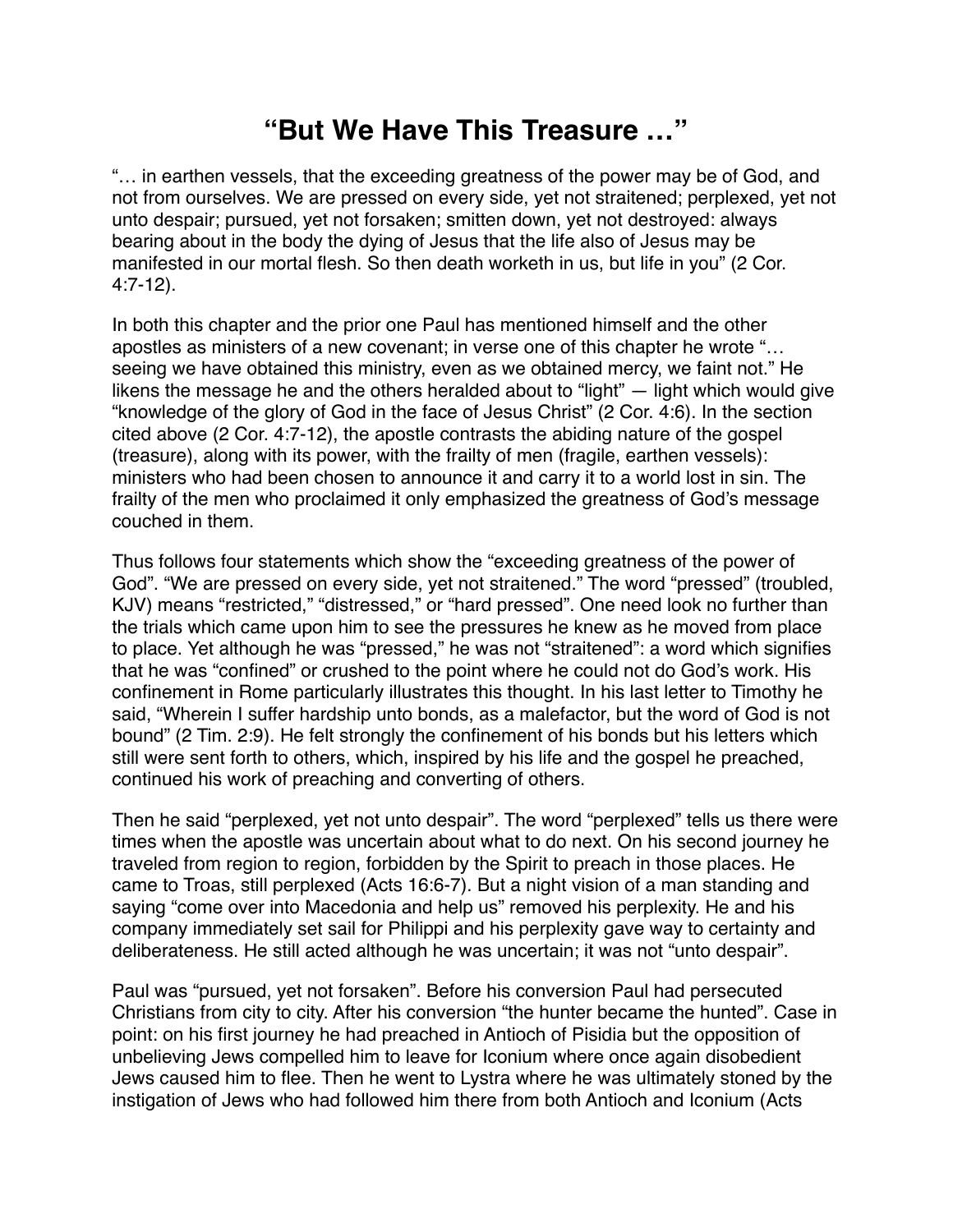## **"But We Have This Treasure …"**

"… in earthen vessels, that the exceeding greatness of the power may be of God, and not from ourselves. We are pressed on every side, yet not straitened; perplexed, yet not unto despair; pursued, yet not forsaken; smitten down, yet not destroyed: always bearing about in the body the dying of Jesus that the life also of Jesus may be manifested in our mortal flesh. So then death worketh in us, but life in you" (2 Cor. 4:7-12).

In both this chapter and the prior one Paul has mentioned himself and the other apostles as ministers of a new covenant; in verse one of this chapter he wrote "… seeing we have obtained this ministry, even as we obtained mercy, we faint not." He likens the message he and the others heralded about to "light" — light which would give "knowledge of the glory of God in the face of Jesus Christ" (2 Cor. 4:6). In the section cited above (2 Cor. 4:7-12), the apostle contrasts the abiding nature of the gospel (treasure), along with its power, with the frailty of men (fragile, earthen vessels): ministers who had been chosen to announce it and carry it to a world lost in sin. The frailty of the men who proclaimed it only emphasized the greatness of God's message couched in them.

Thus follows four statements which show the "exceeding greatness of the power of God". "We are pressed on every side, yet not straitened." The word "pressed" (troubled, KJV) means "restricted," "distressed," or "hard pressed". One need look no further than the trials which came upon him to see the pressures he knew as he moved from place to place. Yet although he was "pressed," he was not "straitened": a word which signifies that he was "confined" or crushed to the point where he could not do God's work. His confinement in Rome particularly illustrates this thought. In his last letter to Timothy he said, "Wherein I suffer hardship unto bonds, as a malefactor, but the word of God is not bound" (2 Tim. 2:9). He felt strongly the confinement of his bonds but his letters which still were sent forth to others, which, inspired by his life and the gospel he preached, continued his work of preaching and converting of others.

Then he said "perplexed, yet not unto despair". The word "perplexed" tells us there were times when the apostle was uncertain about what to do next. On his second journey he traveled from region to region, forbidden by the Spirit to preach in those places. He came to Troas, still perplexed (Acts 16:6-7). But a night vision of a man standing and saying "come over into Macedonia and help us" removed his perplexity. He and his company immediately set sail for Philippi and his perplexity gave way to certainty and deliberateness. He still acted although he was uncertain; it was not "unto despair".

Paul was "pursued, yet not forsaken". Before his conversion Paul had persecuted Christians from city to city. After his conversion "the hunter became the hunted". Case in point: on his first journey he had preached in Antioch of Pisidia but the opposition of unbelieving Jews compelled him to leave for Iconium where once again disobedient Jews caused him to flee. Then he went to Lystra where he was ultimately stoned by the instigation of Jews who had followed him there from both Antioch and Iconium (Acts